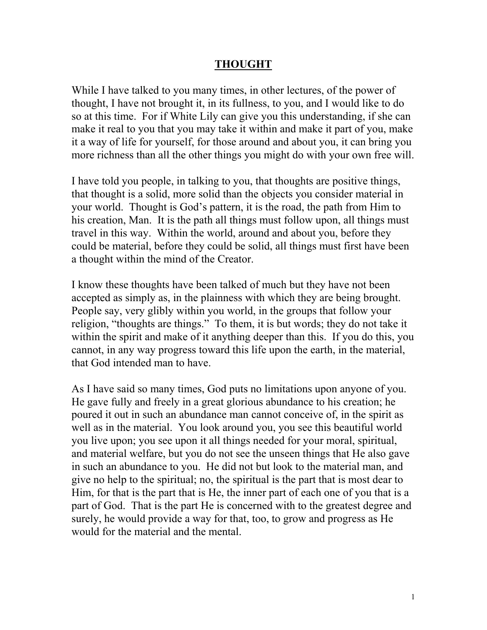## **THOUGHT**

While I have talked to you many times, in other lectures, of the power of thought, I have not brought it, in its fullness, to you, and I would like to do so at this time. For if White Lily can give you this understanding, if she can make it real to you that you may take it within and make it part of you, make it a way of life for yourself, for those around and about you, it can bring you more richness than all the other things you might do with your own free will.

I have told you people, in talking to you, that thoughts are positive things, that thought is a solid, more solid than the objects you consider material in your world. Thought is God's pattern, it is the road, the path from Him to his creation, Man. It is the path all things must follow upon, all things must travel in this way. Within the world, around and about you, before they could be material, before they could be solid, all things must first have been a thought within the mind of the Creator.

I know these thoughts have been talked of much but they have not been accepted as simply as, in the plainness with which they are being brought. People say, very glibly within you world, in the groups that follow your religion, "thoughts are things." To them, it is but words; they do not take it within the spirit and make of it anything deeper than this. If you do this, you cannot, in any way progress toward this life upon the earth, in the material, that God intended man to have.

As I have said so many times, God puts no limitations upon anyone of you. He gave fully and freely in a great glorious abundance to his creation; he poured it out in such an abundance man cannot conceive of, in the spirit as well as in the material. You look around you, you see this beautiful world you live upon; you see upon it all things needed for your moral, spiritual, and material welfare, but you do not see the unseen things that He also gave in such an abundance to you. He did not but look to the material man, and give no help to the spiritual; no, the spiritual is the part that is most dear to Him, for that is the part that is He, the inner part of each one of you that is a part of God. That is the part He is concerned with to the greatest degree and surely, he would provide a way for that, too, to grow and progress as He would for the material and the mental.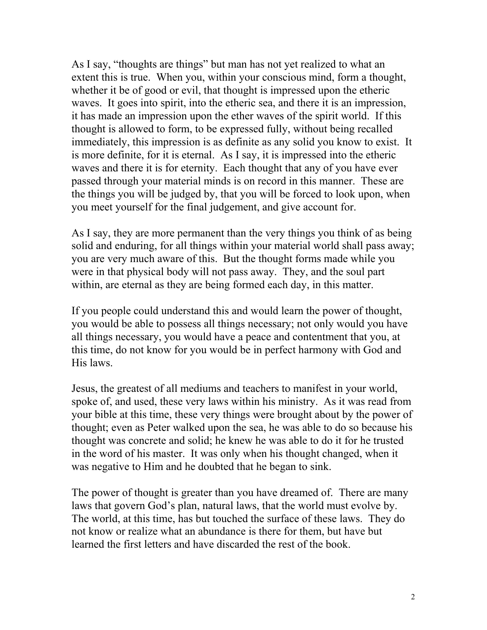As I say, "thoughts are things" but man has not yet realized to what an extent this is true. When you, within your conscious mind, form a thought, whether it be of good or evil, that thought is impressed upon the etheric waves. It goes into spirit, into the etheric sea, and there it is an impression, it has made an impression upon the ether waves of the spirit world. If this thought is allowed to form, to be expressed fully, without being recalled immediately, this impression is as definite as any solid you know to exist. It is more definite, for it is eternal. As I say, it is impressed into the etheric waves and there it is for eternity. Each thought that any of you have ever passed through your material minds is on record in this manner. These are the things you will be judged by, that you will be forced to look upon, when you meet yourself for the final judgement, and give account for.

As I say, they are more permanent than the very things you think of as being solid and enduring, for all things within your material world shall pass away; you are very much aware of this. But the thought forms made while you were in that physical body will not pass away. They, and the soul part within, are eternal as they are being formed each day, in this matter.

If you people could understand this and would learn the power of thought, you would be able to possess all things necessary; not only would you have all things necessary, you would have a peace and contentment that you, at this time, do not know for you would be in perfect harmony with God and His laws.

Jesus, the greatest of all mediums and teachers to manifest in your world, spoke of, and used, these very laws within his ministry. As it was read from your bible at this time, these very things were brought about by the power of thought; even as Peter walked upon the sea, he was able to do so because his thought was concrete and solid; he knew he was able to do it for he trusted in the word of his master. It was only when his thought changed, when it was negative to Him and he doubted that he began to sink.

The power of thought is greater than you have dreamed of. There are many laws that govern God's plan, natural laws, that the world must evolve by. The world, at this time, has but touched the surface of these laws. They do not know or realize what an abundance is there for them, but have but learned the first letters and have discarded the rest of the book.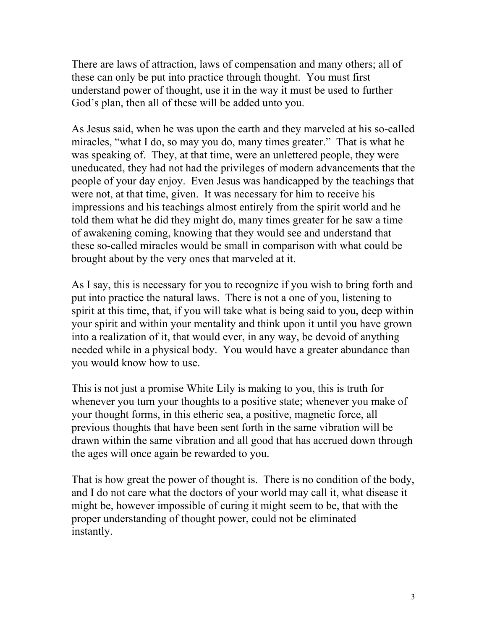There are laws of attraction, laws of compensation and many others; all of these can only be put into practice through thought. You must first understand power of thought, use it in the way it must be used to further God's plan, then all of these will be added unto you.

As Jesus said, when he was upon the earth and they marveled at his so-called miracles, "what I do, so may you do, many times greater." That is what he was speaking of. They, at that time, were an unlettered people, they were uneducated, they had not had the privileges of modern advancements that the people of your day enjoy. Even Jesus was handicapped by the teachings that were not, at that time, given. It was necessary for him to receive his impressions and his teachings almost entirely from the spirit world and he told them what he did they might do, many times greater for he saw a time of awakening coming, knowing that they would see and understand that these so-called miracles would be small in comparison with what could be brought about by the very ones that marveled at it.

As I say, this is necessary for you to recognize if you wish to bring forth and put into practice the natural laws. There is not a one of you, listening to spirit at this time, that, if you will take what is being said to you, deep within your spirit and within your mentality and think upon it until you have grown into a realization of it, that would ever, in any way, be devoid of anything needed while in a physical body. You would have a greater abundance than you would know how to use.

This is not just a promise White Lily is making to you, this is truth for whenever you turn your thoughts to a positive state; whenever you make of your thought forms, in this etheric sea, a positive, magnetic force, all previous thoughts that have been sent forth in the same vibration will be drawn within the same vibration and all good that has accrued down through the ages will once again be rewarded to you.

That is how great the power of thought is. There is no condition of the body, and I do not care what the doctors of your world may call it, what disease it might be, however impossible of curing it might seem to be, that with the proper understanding of thought power, could not be eliminated instantly.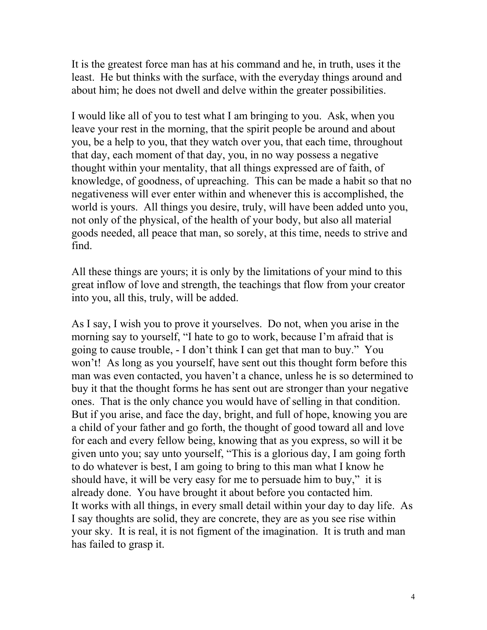It is the greatest force man has at his command and he, in truth, uses it the least. He but thinks with the surface, with the everyday things around and about him; he does not dwell and delve within the greater possibilities.

I would like all of you to test what I am bringing to you. Ask, when you leave your rest in the morning, that the spirit people be around and about you, be a help to you, that they watch over you, that each time, throughout that day, each moment of that day, you, in no way possess a negative thought within your mentality, that all things expressed are of faith, of knowledge, of goodness, of upreaching. This can be made a habit so that no negativeness will ever enter within and whenever this is accomplished, the world is yours. All things you desire, truly, will have been added unto you, not only of the physical, of the health of your body, but also all material goods needed, all peace that man, so sorely, at this time, needs to strive and find.

All these things are yours; it is only by the limitations of your mind to this great inflow of love and strength, the teachings that flow from your creator into you, all this, truly, will be added.

As I say, I wish you to prove it yourselves. Do not, when you arise in the morning say to yourself, "I hate to go to work, because I'm afraid that is going to cause trouble, - I don't think I can get that man to buy." You won't! As long as you yourself, have sent out this thought form before this man was even contacted, you haven't a chance, unless he is so determined to buy it that the thought forms he has sent out are stronger than your negative ones. That is the only chance you would have of selling in that condition. But if you arise, and face the day, bright, and full of hope, knowing you are a child of your father and go forth, the thought of good toward all and love for each and every fellow being, knowing that as you express, so will it be given unto you; say unto yourself, "This is a glorious day, I am going forth to do whatever is best, I am going to bring to this man what I know he should have, it will be very easy for me to persuade him to buy," it is already done. You have brought it about before you contacted him. It works with all things, in every small detail within your day to day life. As I say thoughts are solid, they are concrete, they are as you see rise within your sky. It is real, it is not figment of the imagination. It is truth and man has failed to grasp it.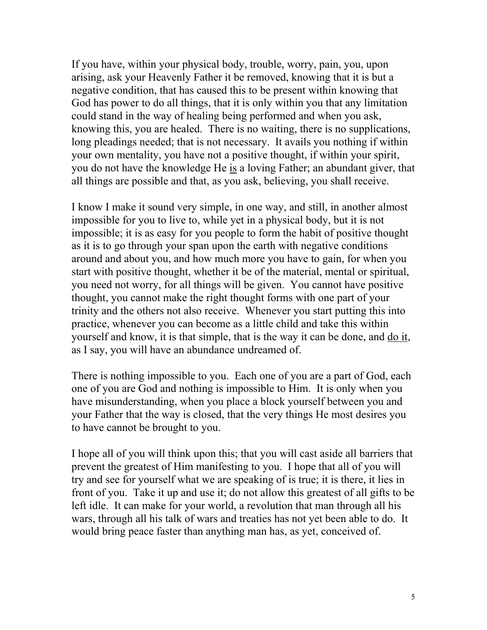If you have, within your physical body, trouble, worry, pain, you, upon arising, ask your Heavenly Father it be removed, knowing that it is but a negative condition, that has caused this to be present within knowing that God has power to do all things, that it is only within you that any limitation could stand in the way of healing being performed and when you ask, knowing this, you are healed. There is no waiting, there is no supplications, long pleadings needed; that is not necessary. It avails you nothing if within your own mentality, you have not a positive thought, if within your spirit, you do not have the knowledge He is a loving Father; an abundant giver, that all things are possible and that, as you ask, believing, you shall receive.

I know I make it sound very simple, in one way, and still, in another almost impossible for you to live to, while yet in a physical body, but it is not impossible; it is as easy for you people to form the habit of positive thought as it is to go through your span upon the earth with negative conditions around and about you, and how much more you have to gain, for when you start with positive thought, whether it be of the material, mental or spiritual, you need not worry, for all things will be given. You cannot have positive thought, you cannot make the right thought forms with one part of your trinity and the others not also receive. Whenever you start putting this into practice, whenever you can become as a little child and take this within yourself and know, it is that simple, that is the way it can be done, and do it, as I say, you will have an abundance undreamed of.

There is nothing impossible to you. Each one of you are a part of God, each one of you are God and nothing is impossible to Him. It is only when you have misunderstanding, when you place a block yourself between you and your Father that the way is closed, that the very things He most desires you to have cannot be brought to you.

I hope all of you will think upon this; that you will cast aside all barriers that prevent the greatest of Him manifesting to you. I hope that all of you will try and see for yourself what we are speaking of is true; it is there, it lies in front of you. Take it up and use it; do not allow this greatest of all gifts to be left idle. It can make for your world, a revolution that man through all his wars, through all his talk of wars and treaties has not yet been able to do. It would bring peace faster than anything man has, as yet, conceived of.